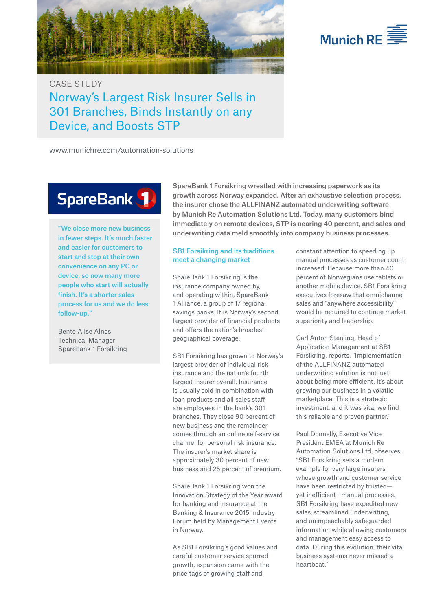



# CASE STUDY Norway's Largest Risk Insurer Sells in 301 Branches, Binds Instantly on any Device, and Boosts STP

www.munichre.com/automation-solutions

# SpareBank 1

"We close more new business in fewer steps. It's much faster and easier for customers to start and stop at their own convenience on any PC or device, so now many more people who start will actually finish. It's a shorter sales process for us and we do less follow-up."

Bente Alise Alnes Technical Manager Sparebank 1 Forsikring SpareBank 1 Forsikring wrestled with increasing paperwork as its growth across Norway expanded. After an exhaustive selection process, the insurer chose the ALLFINANZ automated underwriting software by Munich Re Automation Solutions Ltd. Today, many customers bind immediately on remote devices, STP is nearing 40 percent, and sales and underwriting data meld smoothly into company business processes.

# SB1 Forsikring and its traditions meet a changing market

SpareBank 1 Forsikring is the insurance company owned by, and operating within, SpareBank 1 Alliance, a group of 17 regional savings banks. It is Norway's second largest provider of financial products and offers the nation's broadest geographical coverage.

SB1 Forsikring has grown to Norway's largest provider of individual risk insurance and the nation's fourth largest insurer overall. Insurance is usually sold in combination with loan products and all sales staff are employees in the bank's 301 branches. They close 90 percent of new business and the remainder comes through an online self-service channel for personal risk insurance. The insurer's market share is approximately 30 percent of new business and 25 percent of premium.

SpareBank 1 Forsikring won the Innovation Strategy of the Year award for banking and insurance at the Banking & Insurance 2015 Industry Forum held by Management Events in Norway.

As SB1 Forsikring's good values and careful customer service spurred growth, expansion came with the price tags of growing staff and

constant attention to speeding up manual processes as customer count increased. Because more than 40 percent of Norwegians use tablets or another mobile device, SB1 Forsikring executives foresaw that omnichannel sales and "anywhere accessibility" would be required to continue market superiority and leadership.

Carl Anton Stenling, Head of Application Management at SB1 Forsikring, reports, "Implementation of the ALLFINANZ automated underwriting solution is not just about being more efficient. It's about growing our business in a volatile marketplace. This is a strategic investment, and it was vital we find this reliable and proven partner."

Paul Donnelly, Executive Vice President EMEA at Munich Re Automation Solutions Ltd, observes, "SB1 Forsikring sets a modern example for very large insurers whose growth and customer service have been restricted by trusted yet inefficient—manual processes. SB1 Forsikring have expedited new sales, streamlined underwriting, and unimpeachably safeguarded information while allowing customers and management easy access to data. During this evolution, their vital business systems never missed a heartbeat."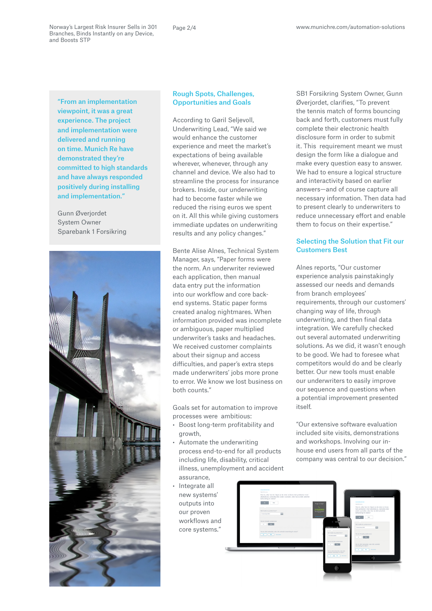Norway's Largest Risk Insurer Sells in 301 Branches, Binds Instantly on any Device, and Boosts STP

"From an implementation viewpoint, it was a great experience. The project and implementation were delivered and running on time. Munich Re have demonstrated they're committed to high standards and have always responded positively during installing and implementation."

Gunn Øverjordet System Owner Sparebank 1 Forsikring



### Rough Spots, Challenges, Opportunities and Goals

According to Gøril Seljevoll, Underwriting Lead, "We said we would enhance the customer experience and meet the market's expectations of being available wherever, whenever, through any channel and device. We also had to streamline the process for insurance brokers. Inside, our underwriting had to become faster while we reduced the rising euros we spent on it. All this while giving customers immediate updates on underwriting results and any policy changes."

Bente Alise Alnes, Technical System Manager, says, "Paper forms were the norm. An underwriter reviewed each application, then manual data entry put the information into our workflow and core backend systems. Static paper forms created analog nightmares. When information provided was incomplete or ambiguous, paper multiplied underwriter's tasks and headaches. We received customer complaints about their signup and access difficulties, and paper's extra steps made underwriters' jobs more prone to error. We know we lost business on both counts."

Goals set for automation to improve processes were ambitious:

- • Boost long-term profitability and growth,
- • Automate the underwriting process end-to-end for all products including life, disability, critical illness, unemployment and accident assurance,
- • Integrate all new systems' outputs into our proven workflows and core systems."

SB1 Forsikring System Owner, Gunn Øverjordet, clarifies, "To prevent the tennis match of forms bouncing back and forth, customers must fully complete their electronic health disclosure form in order to submit it. This requirement meant we must design the form like a dialogue and make every question easy to answer. We had to ensure a logical structure and interactivity based on earlier answers—and of course capture all necessary information. Then data had to present clearly to underwriters to reduce unnecessary effort and enable them to focus on their expertise."

# Selecting the Solution that Fit our Customers Best

Alnes reports, "Our customer experience analysis painstakingly assessed our needs and demands from branch employees' requirements, through our customers' changing way of life, through underwriting, and then final data integration. We carefully checked out several automated underwriting solutions. As we did, it wasn't enough to be good. We had to foresee what competitors would do and be clearly better. Our new tools must enable our underwriters to easily improve our sequence and questions when a potential improvement presented itself.

"Our extensive software evaluation included site visits, demonstrations and workshops. Involving our inhouse end users from all parts of the company was central to our decision."

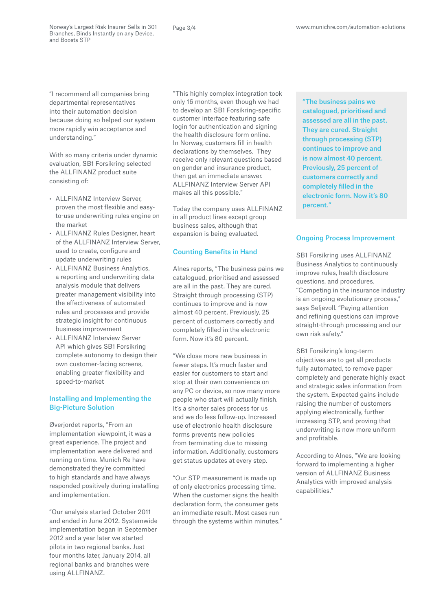"I recommend all companies bring departmental representatives into their automation decision because doing so helped our system more rapidly win acceptance and understanding."

With so many criteria under dynamic evaluation, SB1 Forsikring selected the ALLFINANZ product suite consisting of:

- • ALLFINANZ Interview Server, proven the most flexible and easyto-use underwriting rules engine on the market
- • ALLFINANZ Rules Designer, heart of the ALLFINANZ Interview Server, used to create, configure and update underwriting rules
- • ALLFINANZ Business Analytics, a reporting and underwriting data analysis module that delivers greater management visibility into the effectiveness of automated rules and processes and provide strategic insight for continuous business improvement
- • ALLFINANZ Interview Server API which gives SB1 Forsikring complete autonomy to design their own customer-facing screens, enabling greater flexibility and speed-to-market

# Installing and Implementing the Big-Picture Solution

Øverjordet reports, "From an implementation viewpoint, it was a great experience. The project and implementation were delivered and running on time. Munich Re have demonstrated they're committed to high standards and have always responded positively during installing and implementation.

"Our analysis started October 2011 and ended in June 2012. Systemwide implementation began in September 2012 and a year later we started pilots in two regional banks. Just four months later, January 2014, all regional banks and branches were using ALLFINANZ.

"This highly complex integration took only 16 months, even though we had to develop an SB1 Forsikring-specific customer interface featuring safe login for authentication and signing the health disclosure form online. In Norway, customers fill in health declarations by themselves. They receive only relevant questions based on gender and insurance product, then get an immediate answer. ALLFINANZ Interview Server API makes all this possible."

Today the company uses ALLFINANZ in all product lines except group business sales, although that expansion is being evaluated.

#### Counting Benefits in Hand

Alnes reports, "The business pains we catalogued, prioritised and assessed are all in the past. They are cured. Straight through processing (STP) continues to improve and is now almost 40 percent. Previously, 25 percent of customers correctly and completely filled in the electronic form. Now it's 80 percent.

"We close more new business in fewer steps. It's much faster and easier for customers to start and stop at their own convenience on any PC or device, so now many more people who start will actually finish. It's a shorter sales process for us and we do less follow-up. Increased use of electronic health disclosure forms prevents new policies from terminating due to missing information. Additionally, customers get status updates at every step.

"Our STP measurement is made up of only electronics processing time. When the customer signs the health declaration form, the consumer gets an immediate result. Most cases run through the systems within minutes." "The business pains we catalogued, prioritised and assessed are all in the past. They are cured. Straight through processing (STP) continues to improve and is now almost 40 percent. Previously, 25 percent of customers correctly and completely filled in the electronic form. Now it's 80 percent."

#### Ongoing Process Improvement

SB1 Forsikring uses ALLFINANZ Business Analytics to continuously improve rules, health disclosure questions, and procedures. "Competing in the insurance industry is an ongoing evolutionary process," says Seljevoll. "Paying attention and refining questions can improve straight-through processing and our own risk safety."

SB1 Forsikring's long-term objectives are to get all products fully automated, to remove paper completely and generate highly exact and strategic sales information from the system. Expected gains include raising the number of customers applying electronically, further increasing STP, and proving that underwriting is now more uniform and profitable.

According to Alnes, "We are looking forward to implementing a higher version of ALLFINANZ Business Analytics with improved analysis capabilities."